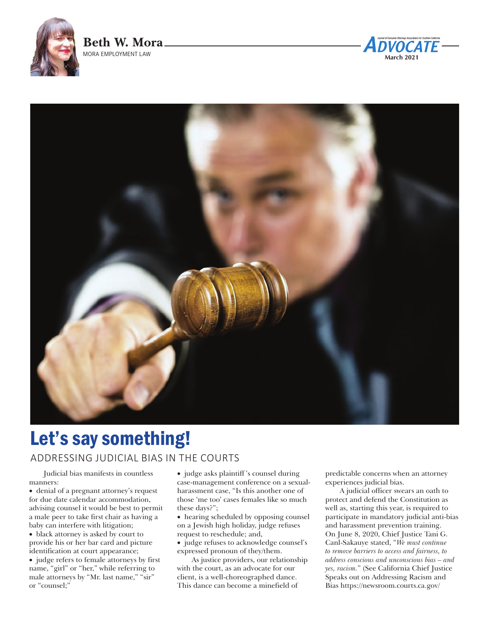





# Let's say something!

# ADDRESSING JUDICIAL BIAS IN THE COURTS

Judicial bias manifests in countless manners:

• denial of a pregnant attorney's request for due date calendar accommodation, advising counsel it would be best to permit a male peer to take first chair as having a baby can interfere with litigation;

• black attorney is asked by court to provide his or her bar card and picture identification at court appearance;

• judge refers to female attorneys by first name, "girl" or "her," while referring to male attorneys by "Mr. last name," "sir" or "counsel;"

• judge asks plaintiff's counsel during case-management conference on a sexualharassment case, "Is this another one of those 'me too' cases females like so much these days?";

• hearing scheduled by opposing counsel on a Jewish high holiday, judge refuses request to reschedule; and,

• judge refuses to acknowledge counsel's expressed pronoun of they/them.

As justice providers, our relationship with the court, as an advocate for our client, is a well-choreographed dance. This dance can become a minefield of

predictable concerns when an attorney experiences judicial bias.

A judicial officer swears an oath to protect and defend the Constitution as well as, starting this year, is required to participate in mandatory judicial anti-bias and harassment prevention training. On June 8, 2020, Chief Justice Tani G. Canl-Sakauye stated, "*We must continue to remove barriers to access and fairness, to address conscious and unconscious bias – and yes, racism.*" (See California Chief Justice Speaks out on Addressing Racism and Bias https://newsroom.courts.ca.gov/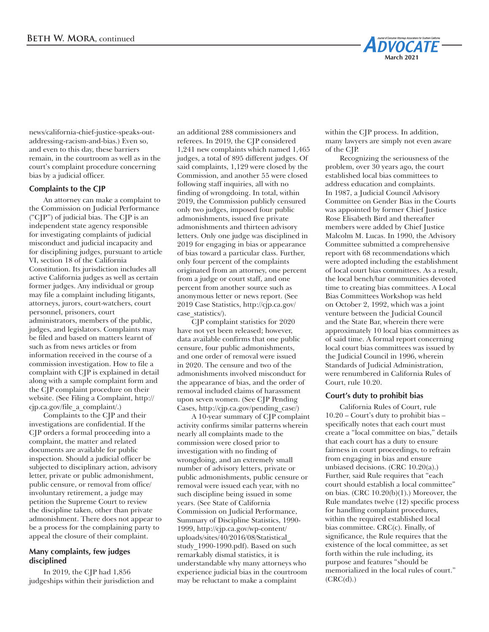

news/california-chief-justice-speaks-outaddressing-racism-and-bias.) Even so, and even to this day, these barriers remain, in the courtroom as well as in the court's complaint procedure concerning bias by a judicial officer.

# **Complaints to the CJP**

An attorney can make a complaint to the Commission on Judicial Performance ("CJP") of judicial bias. The CJP is an independent state agency responsible for investigating complaints of judicial misconduct and judicial incapacity and for disciplining judges, pursuant to article VI, section 18 of the California Constitution. Its jurisdiction includes all active California judges as well as certain former judges. Any individual or group may file a complaint including litigants, attorneys, jurors, court-watchers, court personnel, prisoners, court administrators, members of the public, judges, and legislators. Complaints may be filed and based on matters learnt of such as from news articles or from information received in the course of a commission investigation. How to file a complaint with CJP is explained in detail along with a sample complaint form and the CJP complaint procedure on their website. (See Filing a Complaint, http:// cjp.ca.gov/file\_a\_complaint/.)

Complaints to the CJP and their investigations are confidential. If the CJP orders a formal proceeding into a complaint, the matter and related documents are available for public inspection. Should a judicial officer be subjected to disciplinary action, advisory letter, private or public admonishment, public censure, or removal from office/ involuntary retirement, a judge may petition the Supreme Court to review the discipline taken, other than private admonishment. There does not appear to be a process for the complaining party to appeal the closure of their complaint.

# **Many complaints, few judges disciplined**

In 2019, the CJP had 1,856 judgeships within their jurisdiction and

an additional 288 commissioners and referees. In 2019, the CJP considered 1,241 new complaints which named 1,465 judges, a total of 895 different judges. Of said complaints, 1,129 were closed by the Commission, and another 55 were closed following staff inquiries, all with no finding of wrongdoing. In total, within 2019, the Commission publicly censured only two judges, imposed four public admonishments, issued five private admonishments and thirteen advisory letters. Only one judge was disciplined in 2019 for engaging in bias or appearance of bias toward a particular class. Further, only four percent of the complaints originated from an attorney, one percent from a judge or court staff, and one percent from another source such as anonymous letter or news report. (See 2019 Case Statistics, http://cjp.ca.gov/ case\_statistics/).

CJP complaint statistics for 2020 have not yet been released; however, data available confirms that one public censure, four public admonishments, and one order of removal were issued in 2020. The censure and two of the admonishments involved misconduct for the appearance of bias, and the order of removal included claims of harassment upon seven women. (See CJP Pending Cases, http://cjp.ca.gov/pending\_case/)

A 10-year summary of CJP complaint activity confirms similar patterns wherein nearly all complaints made to the commission were closed prior to investigation with no finding of wrongdoing, and an extremely small number of advisory letters, private or public admonishments, public censure or removal were issued each year, with no such discipline being issued in some years. (See State of California Commission on Judicial Performance, Summary of Discipline Statistics, 1990- 1999, http://cjp.ca.gov/wp-content/ uploads/sites/40/2016/08/Statistical\_ study\_1990-1990.pdf). Based on such remarkably dismal statistics, it is understandable why many attorneys who experience judicial bias in the courtroom may be reluctant to make a complaint

within the CJP process. In addition, many lawyers are simply not even aware of the CJP.

Recognizing the seriousness of the problem, over 30 years ago, the court established local bias committees to address education and complaints. In 1987, a Judicial Council Advisory Committee on Gender Bias in the Courts was appointed by former Chief Justice Rose Elisabeth Bird and thereafter members were added by Chief Justice Malcolm M. Lucas. In 1990, the Advisory Committee submitted a comprehensive report with 68 recommendations which were adopted including the establishment of local court bias committees. As a result, the local bench/bar communities devoted time to creating bias committees. A Local Bias Committees Workshop was held on October 2, 1992, which was a joint venture between the Judicial Council and the State Bar, wherein there were approximately 10 local bias committees as of said time. A formal report concerning local court bias committees was issued by the Judicial Council in 1996, wherein Standards of Judicial Administration, were renumbered in California Rules of Court, rule 10.20.

#### **Court's duty to prohibit bias**

California Rules of Court, rule 10.20 – Court's duty to prohibit bias – specifically notes that each court must create a "local committee on bias," details that each court has a duty to ensure fairness in court proceedings, to refrain from engaging in bias and ensure unbiased decisions. (CRC 10.20(a).) Further, said Rule requires that "each court should establish a local committee" on bias. (CRC 10.20(b)(1).) Moreover, the Rule mandates twelve (12) specific process for handling complaint procedures, within the required established local bias committee. CRC(c). Finally, of significance, the Rule requires that the existence of the local committee, as set forth within the rule including, its purpose and features "should be memorialized in the local rules of court."  $(CRC(d).)$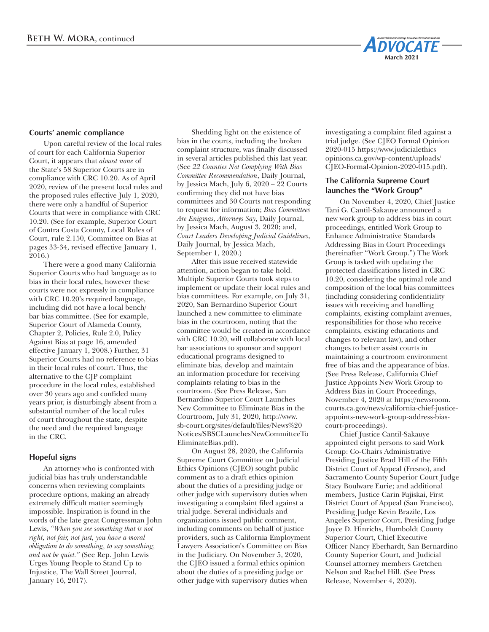

### **Courts' anemic compliance**

Upon careful review of the local rules of court for each California Superior Court, it appears that *almost none* of the State's 58 Superior Courts are in compliance with CRC 10.20. As of April 2020, review of the present local rules and the proposed rules effective July 1, 2020, there were only a handful of Superior Courts that were in compliance with CRC 10.20. (See for example, Superior Court of Contra Costa County, Local Rules of Court, rule 2.150, Committee on Bias at pages 33-34, revised effective January 1, 2016.)

There were a good many California Superior Courts who had language as to bias in their local rules, however these courts were not expressly in compliance with CRC 10.20's required language, including did not have a local bench/ bar bias committee. (See for example, Superior Court of Alameda County, Chapter 2, Policies, Rule 2.0, Policy Against Bias at page 16, amended effective January 1, 2008.) Further, 31 Superior Courts had no reference to bias in their local rules of court. Thus, the alternative to the CJP complaint procedure in the local rules, established over 30 years ago and confided many years prior, is disturbingly absent from a substantial number of the local rules of court throughout the state, despite the need and the required language in the CRC.

#### **Hopeful signs**

An attorney who is confronted with judicial bias has truly understandable concerns when reviewing complaints procedure options, making an already extremely difficult matter seemingly impossible. Inspiration is found in the words of the late great Congressman John Lewis, *"When you see something that is not right, not fair, not just, you have a moral obligation to do something, to say something, and not be quiet."* (See Rep. John Lewis Urges Young People to Stand Up to Injustice, The Wall Street Journal, January 16, 2017).

Shedding light on the existence of bias in the courts, including the broken complaint structure, was finally discussed in several articles published this last year. (See *22 Counties Not Complying With Bias Committee Recommendation*, Daily Journal, by Jessica Mach, July 6, 2020 – 22 Courts confirming they did not have bias committees and 30 Courts not responding to request for information; *Bias Committees Are Enigmas, Attorneys Say*, Daily Journal, by Jessica Mach, August 3, 2020; and, *Court Leaders Developing Judicial Guidelines*, Daily Journal, by Jessica Mach, September 1, 2020.)

After this issue received statewide attention, action began to take hold. Multiple Superior Courts took steps to implement or update their local rules and bias committees. For example, on July 31, 2020, San Bernardino Superior Court launched a new committee to eliminate bias in the courtroom, noting that the committee would be created in accordance with CRC 10.20, will collaborate with local bar associations to sponsor and support educational programs designed to eliminate bias, develop and maintain an information procedure for receiving complaints relating to bias in the courtroom. (See Press Release, San Bernardino Superior Court Launches New Committee to Eliminate Bias in the Courtroom, July 31, 2020, http://www. sb-court.org/sites/default/files/News%20 Notices/SBSCLaunchesNewCommitteeTo EliminateBias.pdf).

On August 28, 2020, the California Supreme Court Committee on Judicial Ethics Opinions (CJEO) sought public comment as to a draft ethics opinion about the duties of a presiding judge or other judge with supervisory duties when investigating a complaint filed against a trial judge. Several individuals and organizations issued public comment, including comments on behalf of justice providers, such as California Employment Lawyers Association's Committee on Bias in the Judiciary. On November 5, 2020, the CJEO issued a formal ethics opinion about the duties of a presiding judge or other judge with supervisory duties when

investigating a complaint filed against a trial judge. (See CJEO Formal Opinion 2020-015 https://www.judicialethics opinions.ca.gov/wp-content/uploads/ CJEO-Formal-Opinion-2020-015.pdf).

## **The California Supreme Court launches the "Work Group"**

On November 4, 2020, Chief Justice Tani G. Cantil-Sakauye announced a new work group to address bias in court proceedings, entitled Work Group to Enhance Administrative Standards Addressing Bias in Court Proceedings (hereinafter "Work Group.") The Work Group is tasked with updating the protected classifications listed in CRC 10.20, considering the optimal role and composition of the local bias committees (including considering confidentiality issues with receiving and handling complaints, existing complaint avenues, responsibilities for those who receive complaints, existing educations and changes to relevant law), and other changes to better assist courts in maintaining a courtroom environment free of bias and the appearance of bias. (See Press Release, California Chief Justice Appoints New Work Group to Address Bias in Court Proceedings, November 4, 2020 at https://newsroom. courts.ca.gov/news/california-chief-justiceappoints-new-work-group-address-biascourt-proceedings).

Chief Justice Cantil-Sakauye appointed eight persons to said Work Group: Co-Chairs Administrative Presiding Justice Brad Hill of the Fifth District Court of Appeal (Fresno), and Sacramento County Superior Court Judge Stacy Boulware Eurie; and additional members, Justice Carin Fujiskai, First District Court of Appeal (San Francisco), Presiding Judge Kevin Brazile, Los Angeles Superior Court, Presiding Judge Joyce D. Hinrichs, Humboldt County Superior Court, Chief Executive Officer Nancy Eberhardt, San Bernardino County Superior Court, and Judicial Counsel attorney members Gretchen Nelson and Rachel Hill. (See Press Release, November 4, 2020).